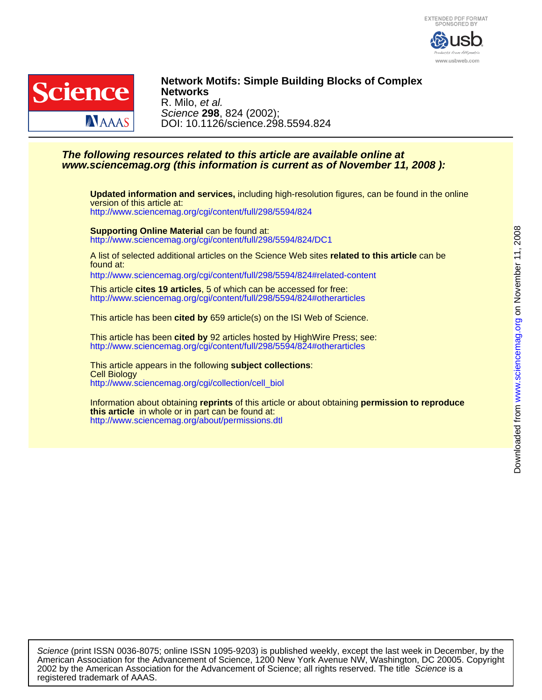



DOI: 10.1126/science.298.5594.824 Science **298**, 824 (2002); R. Milo, et al. **Networks Network Motifs: Simple Building Blocks of Complex**

### **www.sciencemag.org (this information is current as of November 11, 2008 ): The following resources related to this article are available online at**

<http://www.sciencemag.org/cgi/content/full/298/5594/824> version of this article at: **Updated information and services,** including high-resolution figures, can be found in the online

<http://www.sciencemag.org/cgi/content/full/298/5594/824/DC1> **Supporting Online Material** can be found at:

found at: A list of selected additional articles on the Science Web sites **related to this article** can be

<http://www.sciencemag.org/cgi/content/full/298/5594/824#related-content>

<http://www.sciencemag.org/cgi/content/full/298/5594/824#otherarticles> This article **cites 19 articles**, 5 of which can be accessed for free:

This article has been **cited by** 659 article(s) on the ISI Web of Science.

<http://www.sciencemag.org/cgi/content/full/298/5594/824#otherarticles> This article has been **cited by** 92 articles hosted by HighWire Press; see:

[http://www.sciencemag.org/cgi/collection/cell\\_biol](http://www.sciencemag.org/cgi/collection/cell_biol) Cell Biology This article appears in the following **subject collections**:

<http://www.sciencemag.org/about/permissions.dtl> **this article** in whole or in part can be found at: Information about obtaining **reprints** of this article or about obtaining **permission to reproduce**

registered trademark of AAAS. 2002 by the American Association for the Advancement of Science; all rights reserved. The title Science is a American Association for the Advancement of Science, 1200 New York Avenue NW, Washington, DC 20005. Copyright Science (print ISSN 0036-8075; online ISSN 1095-9203) is published weekly, except the last week in December, by the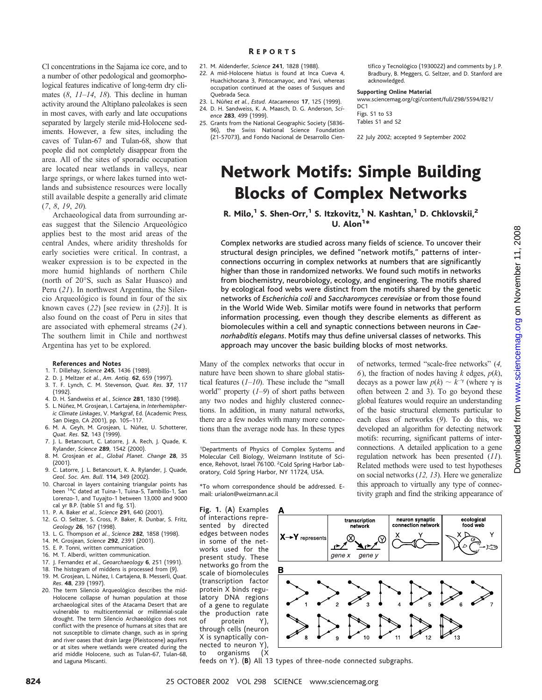Cl concentrations in the Sajama ice core, and to a number of other pedological and geomorphological features indicative of long-term dry climates (*8*, *11*–*14*, *18*). This decline in human activity around the Altiplano paleolakes is seen in most caves, with early and late occupations separated by largely sterile mid-Holocene sediments. However, a few sites, including the caves of Tulan-67 and Tulan-68, show that people did not completely disappear from the area. All of the sites of sporadic occupation are located near wetlands in valleys, near large springs, or where lakes turned into wetlands and subsistence resources were locally still available despite a generally arid climate (*7*, *8*, *19*, *20*)*.*

Archaeological data from surrounding areas suggest that the Silencio Arqueológico applies best to the most arid areas of the central Andes, where aridity thresholds for early societies were critical. In contrast, a weaker expression is to be expected in the more humid highlands of northern Chile (north of 20°S, such as Salar Huasco) and Peru (*21*). In northwest Argentina, the Silencio Arqueológico is found in four of the six known caves (*22*) [see review in (*23*)]. It is also found on the coast of Peru in sites that are associated with ephemeral streams (*24*). The southern limit in Chile and northwest Argentina has yet to be explored.

#### **References and Notes**

- 1. T. Dillehay, *Science* **245**, 1436 (1989).
- 2. D. J. Meltzer *et al.*, *Am. Antiq.* **62**, 659 (1997).
- 3. T. F. Lynch, C. M. Stevenson, *Quat. Res*. **37**, 117 (1992).
- 4. D. H. Sandweiss *et al.*, *Science* **281**, 1830 (1998).
- 5. L. Núñez, M. Grosjean, I. Cartajena, in *Interhemispheric Climate Linkages*, V. Markgraf, Ed. (Academic Press, San Diego, CA 2001), pp. 105–117.
- 6. M. A. Geyh, M. Grosjean, L. Núñez, U. Schotterer, *Quat. Res*. **52**, 143 (1999).
- 7. J. L. Betancourt, C. Latorre, J. A. Rech, J. Quade, K. Rylander, *Science* **289**, 1542 (2000).
- 8. M. Grosjean *et al.*, *Global Planet. Change* **28**, 35 (2001).
- 9. C. Latorre, J. L. Betancourt, K. A. Rylander, J. Quade, *Geol. Soc. Am. Bull*. **114**, 349 (2002).
- 10. Charcoal in layers containing triangular points has been 14C dated at Tuina-1, Tuina-5, Tambillo-1, San Lorenzo-1, and Tuyajto-1 between 13,000 and 9000 cal yr B.P. (table S1 and fig. S1).
- 11. P. A. Baker *et al.*, *Science* **291**, 640 (2001).
- 12. G. O. Seltzer, S. Cross, P. Baker, R. Dunbar, S. Fritz, *Geology* **26**, 167 (1998).
- 13. L. G. Thompson *et al.*, *Science* **282**, 1858 (1998).
- 14. M. Grosjean, *Science* **292**, 2391 (2001).
- 15. E. P. Tonni, written communication.
- 16. M. T. Alberdi, written communication.
- 17. J. Fernandez *et al.*, *Geoarchaeology* **6**, 251 (1991).
- 18. The histogram of middens is processed from (*9*)*.* 19. M. Grosjean, L. Núñez, I. Cartajena, B. Messerli, *Quat*.
- *Res*. **48**, 239 (1997).
- 20. The term Silencio Arqueológico describes the mid-Holocene collapse of human population at those archaeological sites of the Atacama Desert that are vulnerable to multicentennial or millennial-scale drought. The term Silencio Archaeológico does not conflict with the presence of humans at sites that are not susceptible to climate change, such as in spring and river oases that drain large (Pleistocene) aquifers or at sites where wetlands were created during the arid middle Holocene, such as Tulan-67, Tulan-68, and Laguna Miscanti.
- R EPORTS
- 21. M. Aldenderfer, *Science* **241**, 1828 (1988).
- 22. A mid-Holocene hiatus is found at Inca Cueva 4, Huachichocana 3, Pintocamayoc, and Yavi, whereas occupation continued at the oases of Susques and Quebrada Seca.
- 23. L. Núñez et al., *Estud. Atacamenos* 17, 125 (1999).
- 24. D. H. Sandweiss, K. A. Maasch, D. G. Anderson, *Science* **283**, 499 (1999).
- 25. Grants from the National Geographic Society (5836- 96), the Swiss National Science Foundation (21-57073), and Fondo Nacional de Desarrollo Cien-

tífico y Tecnológico (1930022) and comments by J. P. Bradbury, B. Meggers, G. Seltzer, and D. Stanford are acknowledged.

#### **Supporting Online Material**

www.sciencemag.org/cgi/content/full/298/5594/821/ D<sub>C</sub>1

Figs. S1 to S3 Tables S1 and S2

22 July 2002; accepted 9 September 2002

## Network Motifs: Simple Building Blocks of Complex Networks

R. Milo,<sup>1</sup> S. Shen-Orr,<sup>1</sup> S. Itzkovitz,<sup>1</sup> N. Kashtan,<sup>1</sup> D. Chklovskii,<sup>2</sup> U.  $Alon<sup>1</sup>*$ 

Complex networks are studied across many fields of science. To uncover their structural design principles, we defined "network motifs," patterns of interconnections occurring in complex networks at numbers that are significantly higher than those in randomized networks. We found such motifs in networks from biochemistry, neurobiology, ecology, and engineering. The motifs shared by ecological food webs were distinct from the motifs shared by the genetic networks of *Escherichia coli* and *Saccharomyces cerevisiae* or from those found in the World Wide Web. Similar motifs were found in networks that perform information processing, even though they describe elements as different as biomolecules within a cell and synaptic connections between neurons in *Caenorhabditis elegans*. Motifs may thus define universal classes of networks. This approach may uncover the basic building blocks of most networks.

Many of the complex networks that occur in nature have been shown to share global statistical features (*1–10*). These include the "small world" property (*1–9*) of short paths between any two nodes and highly clustered connections. In addition, in many natural networks, there are a few nodes with many more connections than the average node has. In these types

<sup>1</sup>Departments of Physics of Complex Systems and Molecular Cell Biology, Weizmann Institute of Science, Rehovot, Israel 76100. <sup>2</sup>Cold Spring Harbor Laboratory, Cold Spring Harbor, NY 11724, USA.

decays as a power law  $p(k) \sim k^{-\gamma}$  (where  $\gamma$  is often between 2 and 3). To go beyond these global features would require an understanding of the basic structural elements particular to each class of networks (*9*). To do this, we developed an algorithm for detecting network motifs: recurring, significant patterns of interconnections. A detailed application to a gene regulation network has been presented (*11*). Related methods were used to test hypotheses on social networks (*12, 13*). Here we generalize this approach to virtually any type of connectivity graph and find the striking appearance of

of networks, termed "scale-free networks" (*4, 6*), the fraction of nodes having *k* edges, *p*(*k*),

\*To whom correspondence should be addressed. Email: urialon@weizmann.ac.il

**Fig. 1.** (**A**) Examples of interactions represented by directed edges between nodes in some of the networks used for the present study. These networks go from the scale of biomolecules (transcription factor protein X binds regulatory DNA regions of a gene to regulate the production rate<br>of protein Y), of protein through cells (neuron X is synaptically connected to neuron Y), to organisms (X



feeds on Y). (**B**) All 13 types of three-node connected subgraphs.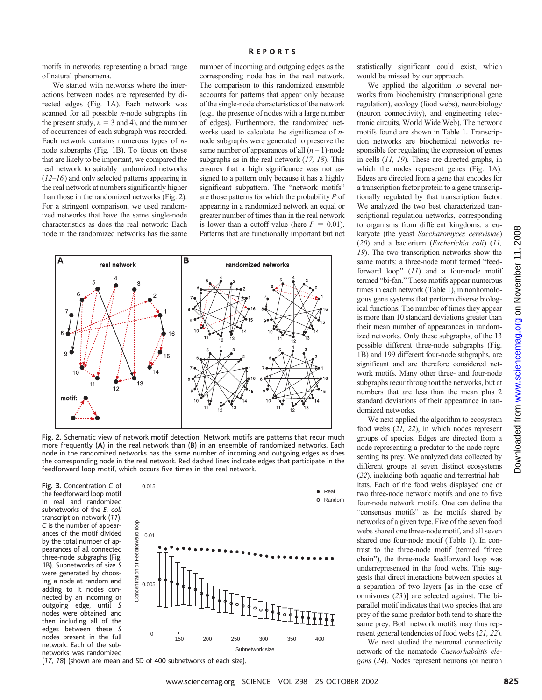motifs in networks representing a broad range of natural phenomena.

We started with networks where the interactions between nodes are represented by directed edges (Fig. 1A). Each network was scanned for all possible *n*-node subgraphs (in the present study,  $n = 3$  and 4), and the number of occurrences of each subgraph was recorded. Each network contains numerous types of *n*node subgraphs (Fig. 1B). To focus on those that are likely to be important, we compared the real network to suitably randomized networks (*12–16*) and only selected patterns appearing in the real network at numbers significantly higher than those in the randomized networks (Fig. 2). For a stringent comparison, we used randomized networks that have the same single-node characteristics as does the real network: Each node in the randomized networks has the same

number of incoming and outgoing edges as the corresponding node has in the real network. The comparison to this randomized ensemble accounts for patterns that appear only because of the single-node characteristics of the network (e.g., the presence of nodes with a large number of edges). Furthermore, the randomized networks used to calculate the significance of *n*node subgraphs were generated to preserve the same number of appearances of all  $(n - 1)$ -node subgraphs as in the real network (*17, 18*). This ensures that a high significance was not assigned to a pattern only because it has a highly significant subpattern. The "network motifs" are those patterns for which the probability *P* of appearing in a randomized network an equal or greater number of times than in the real network is lower than a cutoff value (here  $P = 0.01$ ). Patterns that are functionally important but not



**Fig. 2.** Schematic view of network motif detection. Network motifs are patterns that recur much more frequently (**A**) in the real network than (**B**) in an ensemble of randomized networks. Each node in the randomized networks has the same number of incoming and outgoing edges as does the corresponding node in the real network. Red dashed lines indicate edges that participate in the feedforward loop motif, which occurs five times in the real network.

**Fig. 3.** Concentration *C* of the feedforward loop motif in real and randomized subnetworks of the *E. coli* transcription network (*11*). *C* is the number of appearances of the motif divided by the total number of appearances of all connected three-node subgraphs (Fig. 1B). Subnetworks of size *S* were generated by choosing a node at random and adding to it nodes connected by an incoming or outgoing edge, until *S* nodes were obtained, and then including all of the edges between these *S* nodes present in the full network. Each of the subnetworks was randomized



(*17, 18*) (shown are mean and SD of 400 subnetworks of each size).

statistically significant could exist, which would be missed by our approach.

We applied the algorithm to several networks from biochemistry (transcriptional gene regulation), ecology (food webs), neurobiology (neuron connectivity), and engineering (electronic circuits, World Wide Web). The network motifs found are shown in Table 1. Transcription networks are biochemical networks responsible for regulating the expression of genes in cells (*11, 19*). These are directed graphs, in which the nodes represent genes (Fig. 1A). Edges are directed from a gene that encodes for a transcription factor protein to a gene transcriptionally regulated by that transcription factor. We analyzed the two best characterized transcriptional regulation networks, corresponding to organisms from different kingdoms: a eukaryote (the yeast *Saccharomyces cerevisiae*) (*20*) and a bacterium (*Escherichia coli*) (*11, 19*). The two transcription networks show the same motifs: a three-node motif termed "feedforward loop" (*11*) and a four-node motif termed "bi-fan." These motifs appear numerous times in each network (Table 1), in nonhomologous gene systems that perform diverse biological functions. The number of times they appear is more than 10 standard deviations greater than their mean number of appearances in randomized networks. Only these subgraphs, of the 13 possible different three-node subgraphs (Fig. 1B) and 199 different four-node subgraphs, are significant and are therefore considered network motifs. Many other three- and four-node subgraphs recur throughout the networks, but at numbers that are less than the mean plus 2 standard deviations of their appearance in randomized networks.

We next applied the algorithm to ecosystem food webs (*21, 22*), in which nodes represent groups of species. Edges are directed from a node representing a predator to the node representing its prey. We analyzed data collected by different groups at seven distinct ecosystems (*22*), including both aquatic and terrestrial habitats. Each of the food webs displayed one or two three-node network motifs and one to five four-node network motifs. One can define the "consensus motifs" as the motifs shared by networks of a given type. Five of the seven food webs shared one three-node motif, and all seven shared one four-node motif (Table 1). In contrast to the three-node motif (termed "three chain"), the three-node feedforward loop was underrepresented in the food webs. This suggests that direct interactions between species at a separation of two layers [as in the case of omnivores (*23*)] are selected against. The biparallel motif indicates that two species that are prey of the same predator both tend to share the same prey. Both network motifs may thus represent general tendencies of food webs (*21, 22*).

We next studied the neuronal connectivity network of the nematode *Caenorhabditis elegans* (*24*). Nodes represent neurons (or neuron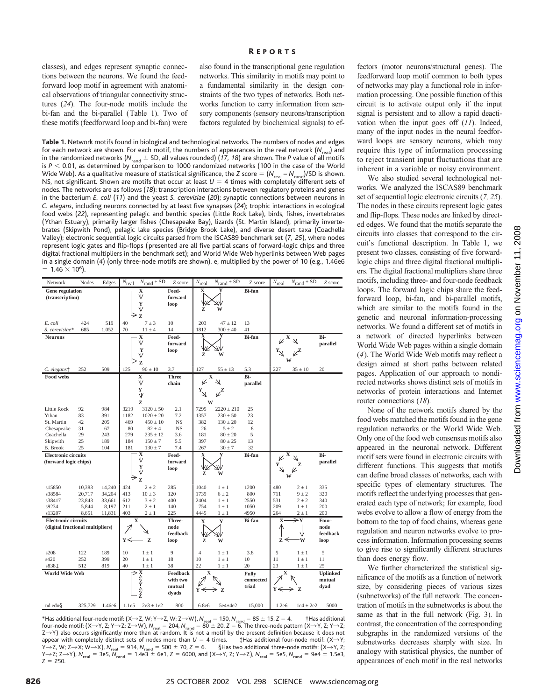#### R EPORTS

classes), and edges represent synaptic connections between the neurons. We found the feedforward loop motif in agreement with anatomical observations of triangular connectivity structures (*24*). The four-node motifs include the bi-fan and the bi-parallel (Table 1). Two of these motifs (feedforward loop and bi-fan) were

also found in the transcriptional gene regulation networks. This similarity in motifs may point to a fundamental similarity in the design constraints of the two types of networks. Both networks function to carry information from sensory components (sensory neurons/transcription factors regulated by biochemical signals) to ef-

**Table 1.** Network motifs found in biological and technological networks. The numbers of nodes and edges for each network are shown. For each motif, the numbers of appearances in the real network (*N*real) and in the randomized networks ( $N_{rand}$   $\pm$  SD, all values rounded) (17, 18) are shown. The P value of all motifs is  $P < 0.01$ , as determined by comparison to 1000 randomized networks (100 in the case of the World Wide Web). As a qualitative measure of statistical significance, the *Z* score =  $(N_{\text{real}} - N_{\text{rand}})/SD$  is shown. NS, not significant. Shown are motifs that occur at least  $U = 4$  times with completely different sets of nodes. The networks are as follows (*18*): transcription interactions between regulatory proteins and genes in the bacterium *E. coli* (*11*) and the yeast *S. cerevisiae* (*20*); synaptic connections between neurons in *C. elegans*, including neurons connected by at least five synapses (*24*); trophic interactions in ecological food webs (*22*), representing pelagic and benthic species (Little Rock Lake), birds, fishes, invertebrates (Ythan Estuary), primarily larger fishes (Chesapeake Bay), lizards (St. Martin Island), primarily invertebrates (Skipwith Pond), pelagic lake species (Bridge Brook Lake), and diverse desert taxa (Coachella Valley); electronic sequential logic circuits parsed from the ISCAS89 benchmark set (*7, 25*), where nodes represent logic gates and flip-flops ( presented are all five partial scans of forward-logic chips and three digital fractional multipliers in the benchmark set); and World Wide Web hyperlinks between Web pages in a single domain (*4*) (only three-node motifs are shown). e, multiplied by the power of 10 (e.g., 1.46e6  $= 1.46 \times 10^6$ .

| Network                                                                                      | Nodes                                        | Edges                                         | $N_{\text{real}}$                              | $N_{\text{rand}}$ $\pm$ SD                                                                                 | Z score                                                   | $N_{\text{real}}$                              | $N_{\text{rand}}$ $\pm$ SD                                                                              | Z score                              | $N_{\text{real}}$                                | $N_{\text{rand}}$ $\pm$ SD                                         | Z score                           |
|----------------------------------------------------------------------------------------------|----------------------------------------------|-----------------------------------------------|------------------------------------------------|------------------------------------------------------------------------------------------------------------|-----------------------------------------------------------|------------------------------------------------|---------------------------------------------------------------------------------------------------------|--------------------------------------|--------------------------------------------------|--------------------------------------------------------------------|-----------------------------------|
| <b>Gene regulation</b><br>(transcription)                                                    |                                              | $\mathbf x$<br>$\vee$<br>Y<br>Ψ               |                                                | Feed-<br>forward<br>loop                                                                                   | X<br>z                                                    | W                                              | Bi-fan                                                                                                  |                                      |                                                  |                                                                    |                                   |
| E. coli<br>S. cerevisiae*                                                                    | 424<br>685                                   | 519<br>1,052                                  | 40<br>70                                       | γz<br>$7 \pm 3$<br>$11 \pm 4$                                                                              | 10<br>14                                                  | 203<br>1812                                    | $47 \pm 12$<br>$300 \pm 40$                                                                             | 13<br>41                             |                                                  |                                                                    |                                   |
| <b>Neurons</b>                                                                               |                                              |                                               |                                                | X<br>V<br>$\check{\mathbb{V}}$<br>z                                                                        | Feed-<br>forward<br>loop                                  | x<br>z                                         | W                                                                                                       | Bi-fan                               | x                                                | 7<br>.Z<br>w                                                       | Bi-<br>parallel                   |
| C. elegans+                                                                                  | 252                                          | 509                                           | 125                                            | $90 \pm 10$                                                                                                | 3.7                                                       | 127                                            | $55 \pm 13$                                                                                             | 5.3                                  | 227                                              | $35 \pm 10$                                                        | 20                                |
| Food webs                                                                                    |                                              |                                               |                                                | X<br>$\vee$<br>Y<br>Ψ<br>z                                                                                 | <b>Three</b><br>chain                                     | $\mathbf X$<br>V<br>Y.<br>W                    | Υ<br>$\boldsymbol{\mathcal{U}}^{\mathbf{Z}}$                                                            | Bi-<br>parallel                      |                                                  |                                                                    |                                   |
| Little Rock<br>Ythan<br>St. Martin<br>Chesapeake<br>Coachella<br>Skipwith<br><b>B.</b> Brook | 92<br>83<br>42<br>31<br>29<br>25<br>25       | 984<br>391<br>205<br>67<br>243<br>189<br>104  | 3219<br>1182<br>469<br>80<br>279<br>184<br>181 | $3120 \pm 50$<br>$1020 \pm 20$<br>$450 \pm 10$<br>$82 \pm 4$<br>$235 \pm 12$<br>$150 \pm 7$<br>$130 \pm 7$ | 2.1<br>7.2<br><b>NS</b><br><b>NS</b><br>3.6<br>5.5<br>7.4 | 7295<br>1357<br>382<br>26<br>181<br>397<br>267 | $2220 \pm 210$<br>$230 \pm 50$<br>$130 \pm 20$<br>$5 \pm 2$<br>$80 \pm 20$<br>$80 \pm 25$<br>$30 \pm 7$ | 25<br>23<br>12<br>8<br>5<br>13<br>32 |                                                  |                                                                    |                                   |
| <b>Electronic circuits</b><br>(forward logic chips)                                          |                                              |                                               |                                                | X<br>Ψ<br>Y<br>Ŵ                                                                                           | Feed-<br>forward<br>loop                                  | X<br>z                                         | Y<br>W                                                                                                  | Bi-fan                               | x<br>Y<br>71                                     | 7<br>z                                                             | Bi-<br>parallel                   |
| s15850<br>s38584<br>s38417<br>s9234<br>s13207                                                | 10,383<br>20,717<br>23,843<br>5,844<br>8,651 | 14,240<br>34,204<br>33,661<br>8,197<br>11,831 | 424<br>413<br>612<br>211<br>403                | Z.<br>$2 \pm 2$<br>$10 \pm 3$<br>$3 \pm 2$<br>$2 \pm 1$<br>$2 \pm 1$                                       | 285<br>120<br>400<br>140<br>225                           | 1040<br>1739<br>2404<br>754<br>4445            | $1 \pm 1$<br>$6 \pm 2$<br>$1 \pm 1$<br>$1 \pm 1$<br>$1 \pm 1$                                           | 1200<br>800<br>2550<br>1050<br>4950  | 480<br>711<br>531<br>209<br>264                  | W<br>$2 \pm 1$<br>$9 \pm 2$<br>$2 \pm 2$<br>$1 \pm 1$<br>$2 \pm 1$ | 335<br>320<br>340<br>200<br>200   |
| <b>Electronic circuits</b><br>(digital fractional multipliers)                               |                                              |                                               | $\mathbf x$<br>1<br>$Y \leq$<br>z              |                                                                                                            | Three-<br>node<br>feedback<br>loop                        | Y<br>$\mathbf x$<br>VŁ<br>W<br>z<br>W          |                                                                                                         | Bi-fan                               | →Y<br>$\mathbf{X}$<br>$z \leq$<br>W              |                                                                    | Four-<br>node<br>feedback<br>loop |
| s208<br>s420<br>s838‡                                                                        | 122<br>252<br>512                            | 189<br>399<br>819                             | 10<br>20<br>40                                 | $1 \pm 1$<br>$1 \pm 1$<br>$1 \pm 1$                                                                        | 9<br>18<br>38                                             | $\overline{4}$<br>10<br>22                     | $1 \pm 1$<br>$1 \pm 1$<br>$1 \pm 1$                                                                     | 3.8<br>10<br>20                      | 5<br>11<br>23                                    | $1 \pm 1$<br>$1 \pm 1$<br>$1 \pm 1$                                | 5<br>11<br>25                     |
| World Wide Web                                                                               |                                              |                                               | $\Rightarrow x$                                | X<br>V<br>V<br>V                                                                                           | Feedback<br>with two<br>mutual<br>dyads                   | $\overline{\mathbf{x}}$<br>Y←                  | $\geq z$                                                                                                | Fully<br>connected<br>triad          | $\overline{\mathbf{x}}$<br>$Y \leftrightarrow Z$ |                                                                    | <b>Uplinked</b><br>mutual<br>dyad |
| nd.edu§                                                                                      | 325,729                                      | 1.46e6                                        | 1.1e5                                          | $2e3 \pm 1e2$                                                                                              | 800                                                       | 6.8e6                                          | $5e4 \pm 4e2$                                                                                           | 15,000                               | 1.2e6                                            | $1e4 \pm 2e2$                                                      | 5000                              |

 $*$ Has additional four-node motif: (X→Z, W; Y→Z, W; Z→W),  $N_{\text{real}}$  = 150,  $N_{\text{rand}}$  = 85  $\pm$  15, *Z* = 4. †Has additional four-node motif: (X→Y, Z; Y→Z; Z→W), N<sub>real</sub> = 204, N<sub>rand</sub> = 80 ± 20, Z = 6. The three-node pattern (X→Y, Z; Y→Z;<br>Z→Y) also occurs significantly more than at random. It is not a motif by the present definition because it appear with completely distinct sets of nodes more than  $U = 4$  times.  $\quad$  ‡Has additional four-node motif: (X→Y;<br>Y→Z, W; Z→X; W→X), N<sub>real</sub> = 914, N<sub>rand</sub> = 500 ± 70, Z = 6. §Has two additional three-node motifs: (X→Y, Y→Z; Z→Y), *N<sub>real</sub> = 3e5, N<sub>rand</sub> = 1.4e3 ± 6e1, Z = 6000, and (X→Y, Z; Y→Z), <i>N<sub>real</sub> = 5e5, N<sub>rand</sub> = 9e4 ± 1.5e3,*  $Z = 250$ .

fectors (motor neurons/structural genes). The feedforward loop motif common to both types of networks may play a functional role in information processing. One possible function of this circuit is to activate output only if the input signal is persistent and to allow a rapid deactivation when the input goes off (*11*). Indeed, many of the input nodes in the neural feedforward loops are sensory neurons, which may require this type of information processing to reject transient input fluctuations that are inherent in a variable or noisy environment.

We also studied several technological networks. We analyzed the ISCAS89 benchmark set of sequential logic electronic circuits (*7, 25*). The nodes in these circuits represent logic gates and flip-flops. These nodes are linked by directed edges. We found that the motifs separate the circuits into classes that correspond to the circuit's functional description. In Table 1, we present two classes, consisting of five forwardlogic chips and three digital fractional multipliers. The digital fractional multipliers share three motifs, including three- and four-node feedback loops. The forward logic chips share the feedforward loop, bi-fan, and bi-parallel motifs, which are similar to the motifs found in the genetic and neuronal information-processing networks. We found a different set of motifs in a network of directed hyperlinks between World Wide Web pages within a single domain (*4*). The World Wide Web motifs may reflect a design aimed at short paths between related pages. Application of our approach to nondirected networks shows distinct sets of motifs in networks of protein interactions and Internet router connections (*18*).

None of the network motifs shared by the food webs matched the motifs found in the gene regulation networks or the World Wide Web. Only one of the food web consensus motifs also appeared in the neuronal network. Different motif sets were found in electronic circuits with different functions. This suggests that motifs can define broad classes of networks, each with specific types of elementary structures. The motifs reflect the underlying processes that generated each type of network; for example, food webs evolve to allow a flow of energy from the bottom to the top of food chains, whereas gene regulation and neuron networks evolve to process information. Information processing seems to give rise to significantly different structures than does energy flow.

We further characterized the statistical significance of the motifs as a function of network size, by considering pieces of various sizes (subnetworks) of the full network. The concentration of motifs in the subnetworks is about the same as that in the full network (Fig. 3). In contrast, the concentration of the corresponding subgraphs in the randomized versions of the subnetworks decreases sharply with size. In analogy with statistical physics, the number of appearances of each motif in the real networks